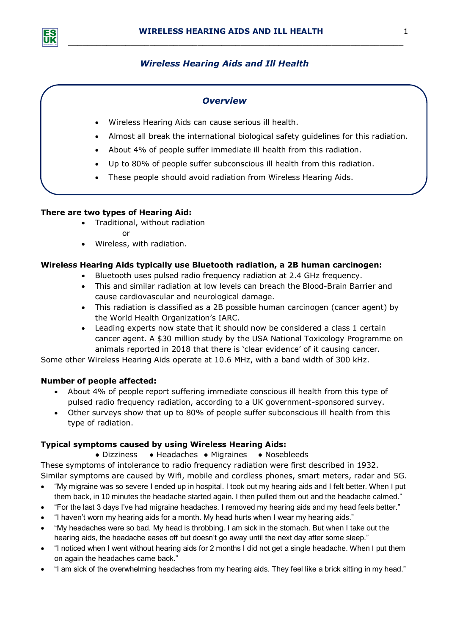*\_\_\_\_\_\_\_\_\_\_\_\_\_\_\_\_\_\_\_\_\_\_\_\_\_\_\_\_\_\_\_\_\_\_\_\_\_\_\_\_\_\_\_\_\_\_\_\_\_\_\_\_\_\_\_\_\_\_\_\_\_\_\_\_\_\_\_\_\_\_*

# *Wireless Hearing Aids and Ill Health*

## *Overview*

- Wireless Hearing Aids can cause serious ill health.
- Almost all break the international biological safety guidelines for this radiation.
- About 4% of people suffer immediate ill health from this radiation.
- Up to 80% of people suffer subconscious ill health from this radiation.
- These people should avoid radiation from Wireless Hearing Aids.

### **There are two types of Hearing Aid:**

- Traditional, without radiation
	- or
- Wireless, with radiation.

### **Wireless Hearing Aids typically use Bluetooth radiation, a 2B human carcinogen:**

- Bluetooth uses pulsed radio frequency radiation at 2.4 GHz frequency.
- This and similar radiation at low levels can breach the Blood-Brain Barrier and cause cardiovascular and neurological damage.
- This radiation is classified as a 2B possible human carcinogen (cancer agent) by the World Health Organization's IARC.
- Leading experts now state that it should now be considered a class 1 certain cancer agent. A \$30 million study by the USA National Toxicology Programme on animals reported in 2018 that there is 'clear evidence' of it causing cancer.

Some other Wireless Hearing Aids operate at 10.6 MHz, with a band width of 300 kHz.

### **Number of people affected:**

- About 4% of people report suffering immediate conscious ill health from this type of pulsed radio frequency radiation, according to a UK government-sponsored survey.
- Other surveys show that up to 80% of people suffer subconscious ill health from this type of radiation.

#### **Typical symptoms caused by using Wireless Hearing Aids:**

#### ● Dizziness ● Headaches ● Migraines ● Nosebleeds

These symptoms of intolerance to radio frequency radiation were first described in 1932. Similar symptoms are caused by Wifi, mobile and cordless phones, smart meters, radar and 5G.

- "My migraine was so severe I ended up in hospital. I took out my hearing aids and I felt better. When I put them back, in 10 minutes the headache started again. I then pulled them out and the headache calmed."
- "For the last 3 days I've had migraine headaches. I removed my hearing aids and my head feels better."
- "I haven't worn my hearing aids for a month. My head hurts when I wear my hearing aids."
- "My headaches were so bad. My head is throbbing. I am sick in the stomach. But when I take out the hearing aids, the headache eases off but doesn't go away until the next day after some sleep."
- "I noticed when I went without hearing aids for 2 months I did not get a single headache. When I put them on again the headaches came back."
- "I am sick of the overwhelming headaches from my hearing aids. They feel like a brick sitting in my head."